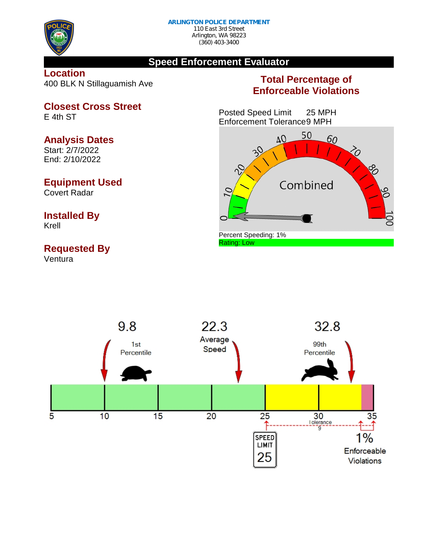

E 4th ST

(360) 403-3400

### **Speed Enforcement Evaluator**

**Location** 400 BLK N Stillaguamish Ave

**Closest Cross Street**

### **Total Percentage of Enforceable Violations**

Posted Speed Limit 25 MPH Enforcement Tolerance9 MPH





**Analysis Dates** Start: 2/7/2022 End: 2/10/2022

# **Equipment Used**

Covert Radar

# **Installed By**

Krell

## **Requested By**

Ventura